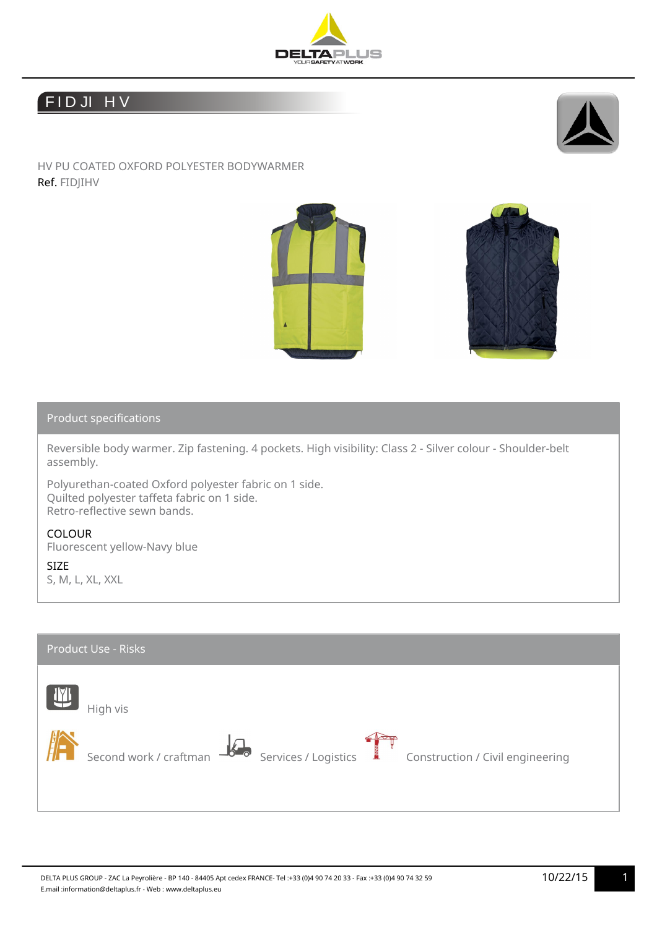

## FIDJI HV



HV PU COATED OXFORD POLYESTER BODYWARMER Ref. FIDJIHV





## Product specifications

Reversible body warmer. Zip fastening. 4 pockets. High visibility: Class 2 - Silver colour - Shoulder-belt assembly.

Polyurethan-coated Oxford polyester fabric on 1 side. Quilted polyester taffeta fabric on 1 side. Retro-reflective sewn bands.

## COLOUR

Fluorescent yellow-Navy blue

SIZE

S, M, L, XL, XXL